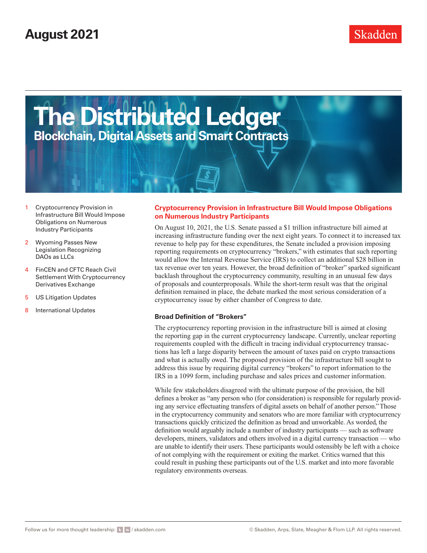# **August 2021**



- 1 Cryptocurrency Provision in Infrastructure Bill Would Impose Obligations on Numerous Industry Participants
- 2 [Wyoming Passes New](#page-1-0)  [Legislation Recognizing](#page-1-0)  [DAOs as LLCs](#page-1-0)
- 4 [FinCEN and CFTC Reach Civil](#page-3-0)  [Settlement With Cryptocurrency](#page-3-0)  [Derivatives Exchange](#page-3-0)
- 5 [US Litigation Updates](#page-4-0)
- 8 [International Updates](#page-7-0)

#### **Cryptocurrency Provision in Infrastructure Bill Would Impose Obligations on Numerous Industry Participants**

On August 10, 2021, the U.S. Senate passed a \$1 trillion infrastructure bill aimed at increasing infrastructure funding over the next eight years. To connect it to increased tax revenue to help pay for these expenditures, the Senate included a provision imposing reporting requirements on cryptocurrency "brokers," with estimates that such reporting would allow the Internal Revenue Service (IRS) to collect an additional \$28 billion in tax revenue over ten years. However, the broad definition of "broker" sparked significant backlash throughout the cryptocurrency community, resulting in an unusual few days of proposals and counterproposals. While the short-term result was that the original definition remained in place, the debate marked the most serious consideration of a cryptocurrency issue by either chamber of Congress to date.

#### **Broad Definition of "Brokers"**

The cryptocurrency reporting provision in the infrastructure bill is aimed at closing the reporting gap in the current cryptocurrency landscape. Currently, unclear reporting requirements coupled with the difficult in tracing individual cryptocurrency transactions has left a large disparity between the amount of taxes paid on crypto transactions and what is actually owed. The proposed provision of the infrastructure bill sought to address this issue by requiring digital currency "brokers" to report information to the IRS in a 1099 form, including purchase and sales prices and customer information.

While few stakeholders disagreed with the ultimate purpose of the provision, the bill defines a broker as "any person who (for consideration) is responsible for regularly providing any service effectuating transfers of digital assets on behalf of another person." Those in the cryptocurrency community and senators who are more familiar with cryptocurrency transactions quickly criticized the definition as broad and unworkable. As worded, the definition would arguably include a number of industry participants — such as software developers, miners, validators and others involved in a digital currency transaction — who are unable to identify their users. These participants would ostensibly be left with a choice of not complying with the requirement or exiting the market. Critics warned that this could result in pushing these participants out of the U.S. market and into more favorable regulatory environments overseas.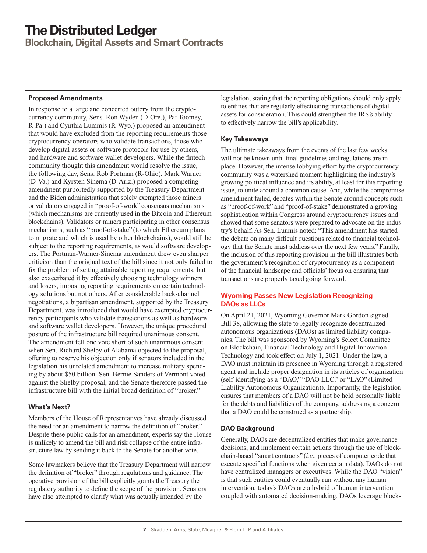<span id="page-1-0"></span>**Blockchain, Digital Assets and Smart Contracts**

### **Proposed Amendments**

In response to a large and concerted outcry from the cryptocurrency community, Sens. Ron Wyden (D-Ore.), Pat Toomey, R-Pa.) and Cynthia Lummis (R-Wyo.) proposed an amendment that would have excluded from the reporting requirements those cryptocurrency operators who validate transactions, those who develop digital assets or software protocols for use by others, and hardware and software wallet developers. While the fintech community thought this amendment would resolve the issue, the following day, Sens. Rob Portman (R-Ohio), Mark Warner (D-Va.) and Kyrsten Sinema (D-Ariz.) proposed a competing amendment purportedly supported by the Treasury Department and the Biden administration that solely exempted those miners or validators engaged in "proof-of-work" consensus mechanisms (which mechanisms are currently used in the Bitcoin and Ethereum blockchains). Validators or miners participating in other consensus mechanisms, such as "proof-of-stake" (to which Ethereum plans to migrate and which is used by other blockchains), would still be subject to the reporting requirements, as would software developers. The Portman-Warner-Sinema amendment drew even sharper criticism than the original text of the bill since it not only failed to fix the problem of setting attainable reporting requirements, but also exacerbated it by effectively choosing technology winners and losers, imposing reporting requirements on certain technology solutions but not others. After considerable back-channel negotiations, a bipartisan amendment, supported by the Treasury Department, was introduced that would have exempted cryptocurrency participants who validate transactions as well as hardware and software wallet developers. However, the unique procedural posture of the infrastructure bill required unanimous consent. The amendment fell one vote short of such unanimous consent when Sen. Richard Shelby of Alabama objected to the proposal, offering to reserve his objection only if senators included in the legislation his unrelated amendment to increase military spending by about \$50 billion. Sen. Bernie Sanders of Vermont voted against the Shelby proposal, and the Senate therefore passed the infrastructure bill with the initial broad definition of "broker."

### **What's Next?**

Members of the House of Representatives have already discussed the need for an amendment to narrow the definition of "broker." Despite these public calls for an amendment, experts say the House is unlikely to amend the bill and risk collapse of the entire infrastructure law by sending it back to the Senate for another vote.

Some lawmakers believe that the Treasury Department will narrow the definition of "broker" through regulations and guidance. The operative provision of the bill explicitly grants the Treasury the regulatory authority to define the scope of the provision. Senators have also attempted to clarify what was actually intended by the

legislation, stating that the reporting obligations should only apply to entities that are regularly effectuating transactions of digital assets for consideration. This could strengthen the IRS's ability to effectively narrow the bill's applicability.

### **Key Takeaways**

The ultimate takeaways from the events of the last few weeks will not be known until final guidelines and regulations are in place. However, the intense lobbying effort by the cryptocurrency community was a watershed moment highlighting the industry's growing political influence and its ability, at least for this reporting issue, to unite around a common cause. And, while the compromise amendment failed, debates within the Senate around concepts such as "proof-of-work" and "proof-of-stake" demonstrated a growing sophistication within Congress around cryptocurrency issues and showed that some senators were prepared to advocate on the industry's behalf. As Sen. Luumis noted: "This amendment has started the debate on many difficult questions related to financial technology that the Senate must address over the next few years." Finally, the inclusion of this reporting provision in the bill illustrates both the government's recognition of cryptocurrency as a component of the financial landscape and officials' focus on ensuring that transactions are properly taxed going forward.

## **Wyoming Passes New Legislation Recognizing DAOs as LLCs**

On April 21, 2021, Wyoming Governor Mark Gordon signed Bill 38, allowing the state to legally recognize decentralized autonomous organizations (DAOs) as limited liability companies. The bill was sponsored by Wyoming's Select Committee on Blockchain, Financial Technology and Digital Innovation Technology and took effect on July 1, 2021. Under the law, a DAO must maintain its presence in Wyoming through a registered agent and include proper designation in its articles of organization (self-identifying as a "DAO," "DAO LLC," or "LAO" (Limited Liability Autonomous Organization)). Importantly, the legislation ensures that members of a DAO will not be held personally liable for the debts and liabilities of the company, addressing a concern that a DAO could be construed as a partnership.

### **DAO Background**

Generally, DAOs are decentralized entities that make governance decisions, and implement certain actions through the use of blockchain-based "smart contracts" (*i.e*., pieces of computer code that execute specified functions when given certain data). DAOs do not have centralized managers or executives. While the DAO "vision" is that such entities could eventually run without any human intervention, today's DAOs are a hybrid of human intervention coupled with automated decision-making. DAOs leverage block-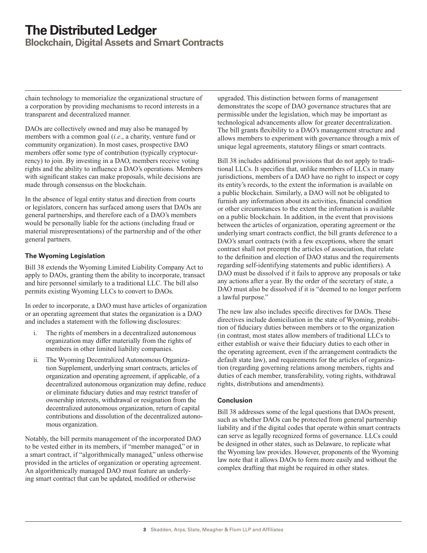**Blockchain, Digital Assets and Smart Contracts**

chain technology to memorialize the organizational structure of a corporation by providing mechanisms to record interests in a transparent and decentralized manner.

DAOs are collectively owned and may also be managed by members with a common goal (*i.e*., a charity, venture fund or community organization). In most cases, prospective DAO members offer some type of contribution (typically cryptocurrency) to join. By investing in a DAO, members receive voting rights and the ability to influence a DAO's operations. Members with significant stakes can make proposals, while decisions are made through consensus on the blockchain.

In the absence of legal entity status and direction from courts or legislators, concern has surfaced among users that DAOs are general partnerships, and therefore each of a DAO's members would be personally liable for the actions (including fraud or material misrepresentations) of the partnership and of the other general partners.

## **The Wyoming Legislation**

Bill 38 extends the Wyoming Limited Liability Company Act to apply to DAOs, granting them the ability to incorporate, transact and hire personnel similarly to a traditional LLC. The bill also permits existing Wyoming LLCs to convert to DAOs.

In order to incorporate, a DAO must have articles of organization or an operating agreement that states the organization is a DAO and includes a statement with the following disclosures:

- i. The rights of members in a decentralized autonomous organization may differ materially from the rights of members in other limited liability companies.
- ii. The Wyoming Decentralized Autonomous Organization Supplement, underlying smart contracts, articles of organization and operating agreement, if applicable, of a decentralized autonomous organization may define, reduce or eliminate fiduciary duties and may restrict transfer of ownership interests, withdrawal or resignation from the decentralized autonomous organization, return of capital contributions and dissolution of the decentralized autonomous organization.

Notably, the bill permits management of the incorporated DAO to be vested either in its members, if "member managed," or in a smart contract, if "algorithmically managed," unless otherwise provided in the articles of organization or operating agreement. An algorithmically managed DAO must feature an underlying smart contract that can be updated, modified or otherwise

upgraded. This distinction between forms of management demonstrates the scope of DAO governance structures that are permissible under the legislation, which may be important as technological advancements allow for greater decentralization. The bill grants flexibility to a DAO's management structure and allows members to experiment with governance through a mix of unique legal agreements, statutory filings or smart contracts.

Bill 38 includes additional provisions that do not apply to traditional LLCs. It specifies that, unlike members of LLCs in many jurisdictions, members of a DAO have no right to inspect or copy its entity's records, to the extent the information is available on a public blockchain. Similarly, a DAO will not be obligated to furnish any information about its activities, financial condition or other circumstances to the extent the information is available on a public blockchain. In addition, in the event that provisions between the articles of organization, operating agreement or the underlying smart contracts conflict, the bill grants deference to a DAO's smart contracts (with a few exceptions, where the smart contract shall not preempt the articles of association, that relate to the definition and election of DAO status and the requirements regarding self-identifying statements and public identifiers). A DAO must be dissolved if it fails to approve any proposals or take any actions after a year. By the order of the secretary of state, a DAO must also be dissolved if it is "deemed to no longer perform a lawful purpose."

The new law also includes specific directives for DAOs. These directives include domiciliation in the state of Wyoming, prohibition of fiduciary duties between members or to the organization (in contrast, most states allow members of traditional LLCs to either establish or waive their fiduciary duties to each other in the operating agreement, even if the arrangement contradicts the default state law), and requirements for the articles of organization (regarding governing relations among members, rights and duties of each member, transferability, voting rights, withdrawal rights, distributions and amendments).

### **Conclusion**

Bill 38 addresses some of the legal questions that DAOs present, such as whether DAOs can be protected from general partnership liability and if the digital codes that operate within smart contracts can serve as legally recognized forms of governance. LLCs could be designed in other states, such as Delaware, to replicate what the Wyoming law provides. However, proponents of the Wyoming law note that it allows DAOs to form more easily and without the complex drafting that might be required in other states.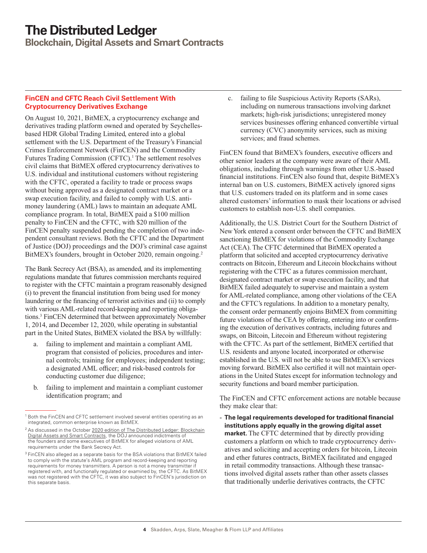<span id="page-3-0"></span>**Blockchain, Digital Assets and Smart Contracts**

### **FinCEN and CFTC Reach Civil Settlement With Cryptocurrency Derivatives Exchange**

On August 10, 2021, BitMEX, a cryptocurrency exchange and derivatives trading platform owned and operated by Seychellesbased HDR Global Trading Limited, entered into a global settlement with the U.S. Department of the Treasury's Financial Crimes Enforcement Network (FinCEN) and the Commodity Futures Trading Commission (CFTC).<sup>1</sup> The settlement resolves civil claims that BitMEX offered cryptocurrency derivatives to U.S. individual and institutional customers without registering with the CFTC, operated a facility to trade or process swaps without being approved as a designated contract market or a swap execution facility, and failed to comply with U.S. antimoney laundering (AML) laws to maintain an adequate AML compliance program. In total, BitMEX paid a \$100 million penalty to FinCEN and the CFTC, with \$20 million of the FinCEN penalty suspended pending the completion of two independent consultant reviews. Both the CFTC and the Department of Justice (DOJ) proceedings and the DOJ's criminal case against BitMEX's founders, brought in October 2020, remain ongoing.<sup>2</sup>

The Bank Secrecy Act (BSA), as amended, and its implementing regulations mandate that futures commission merchants required to register with the CFTC maintain a program reasonably designed (i) to prevent the financial institution from being used for money laundering or the financing of terrorist activities and (ii) to comply with various AML-related record-keeping and reporting obligations.3 FinCEN determined that between approximately November 1, 2014, and December 12, 2020, while operating in substantial part in the United States, BitMEX violated the BSA by willfully:

- failing to implement and maintain a compliant AML program that consisted of policies, procedures and internal controls; training for employees; independent testing; a designated AML officer; and risk-based controls for conducting customer due diligence;
- b. failing to implement and maintain a compliant customer identification program; and

c. failing to file Suspicious Activity Reports (SARs), including on numerous transactions involving darknet markets; high-risk jurisdictions; unregistered money services businesses offering enhanced convertible virtual currency (CVC) anonymity services, such as mixing services; and fraud schemes.

FinCEN found that BitMEX's founders, executive officers and other senior leaders at the company were aware of their AML obligations, including through warnings from other U.S.-based financial institutions. FinCEN also found that, despite BitMEX's internal ban on U.S. customers, BitMEX actively ignored signs that U.S. customers traded on its platform and in some cases altered customers' information to mask their locations or advised customers to establish non-U.S. shell companies.

Additionally, the U.S. District Court for the Southern District of New York entered a consent order between the CFTC and BitMEX sanctioning BitMEX for violations of the Commodity Exchange Act (CEA). The CFTC determined that BitMEX operated a platform that solicited and accepted cryptocurrency derivative contracts on Bitcoin, Ethereum and Litecoin blockchains without registering with the CTFC as a futures commission merchant, designated contract market or swap execution facility, and that BitMEX failed adequately to supervise and maintain a system for AML-related compliance, among other violations of the CEA and the CFTC's regulations. In addition to a monetary penalty, the consent order permanently enjoins BitMEX from committing future violations of the CEA by offering, entering into or confirming the execution of derivatives contracts, including futures and swaps, on Bitcoin, Litecoin and Ethereum without registering with the CFTC. As part of the settlement, BitMEX certified that U.S. residents and anyone located, incorporated or otherwise established in the U.S. will not be able to use BitMEX's services moving forward. BitMEX also certified it will not maintain operations in the United States except for information technology and security functions and board member participation.

The FinCEN and CFTC enforcement actions are notable because they make clear that:

- **The legal requirements developed for traditional financial institutions apply equally in the growing digital asset market.** The CFTC determined that by directly providing customers a platform on which to trade cryptocurrency derivatives and soliciting and accepting orders for bitcoin, Litecoin and ether futures contracts, BitMEX facilitated and engaged in retail commodity transactions. Although these transactions involved digital assets rather than other assets classes that traditionally underlie derivatives contracts, the CFTC

<sup>&</sup>lt;sup>1</sup> Both the FinCEN and CFTC settlement involved several entities operating as an integrated, common enterprise known as BitMEX.

<sup>&</sup>lt;sup>2</sup> As discussed in the October [2020 edition of The Distributed Ledger: Blockchain](https://www.skadden.com/insights/publications/2020/10/the-distributed-ledger) [Digital Assets and Smart Contracts,](https://www.skadden.com/insights/publications/2020/10/the-distributed-ledger) the DOJ announced indictments of the founders and some executives of BitMEX for alleged violations of AML requirements under the Bank Secrecy Act.

<sup>&</sup>lt;sup>3</sup> FinCEN also alleged as a separate basis for the BSA violations that BitMEX failed to comply with the statute's AML program and record-keeping and reporting requirements for money transmitters. A person is not a money transmitter if registered with, and functionally regulated or examined by, the CFTC. As BitMEX was not registered with the CFTC, it was also subject to FinCEN's jurisdiction on this separate basis.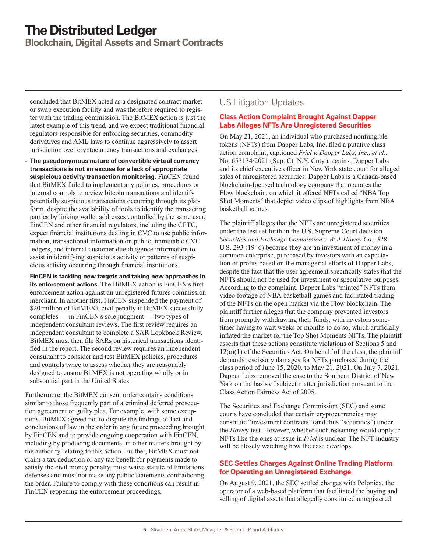<span id="page-4-0"></span>**Blockchain, Digital Assets and Smart Contracts**

concluded that BitMEX acted as a designated contract market or swap execution facility and was therefore required to register with the trading commission. The BitMEX action is just the latest example of this trend, and we expect traditional financial regulators responsible for enforcing securities, commodity derivatives and AML laws to continue aggressively to assert jurisdiction over cryptocurrency transactions and exchanges.

- **The pseudonymous nature of convertible virtual currency transactions is not an excuse for a lack of appropriate suspicious activity transaction monitoring.** FinCEN found that BitMEX failed to implement any policies, procedures or internal controls to review bitcoin transactions and identify potentially suspicious transactions occurring through its platform, despite the availability of tools to identify the transacting parties by linking wallet addresses controlled by the same user. FinCEN and other financial regulators, including the CFTC, expect financial institutions dealing in CVC to use public information, transactional information on public, immutable CVC ledgers, and internal customer due diligence information to assist in identifying suspicious activity or patterns of suspicious activity occurring through financial institutions.
- **FinCEN is tackling new targets and taking new approaches in its enforcement actions.** The BitMEX action is FinCEN's first enforcement action against an unregistered futures commission merchant. In another first, FinCEN suspended the payment of \$20 million of BitMEX's civil penalty if BitMEX successfully completes — in FinCEN's sole judgment — two types of independent consultant reviews. The first review requires an independent consultant to complete a SAR Lookback Review. BitMEX must then file SARs on historical transactions identified in the report. The second review requires an independent consultant to consider and test BitMEX policies, procedures and controls twice to assess whether they are reasonably designed to ensure BitMEX is not operating wholly or in substantial part in the United States.

Furthermore, the BitMEX consent order contains conditions similar to those frequently part of a criminal deferred prosecution agreement or guilty plea. For example, with some exceptions, BitMEX agreed not to dispute the findings of fact and conclusions of law in the order in any future proceeding brought by FinCEN and to provide ongoing cooperation with FinCEN, including by producing documents, in other matters brought by the authority relating to this action. Further, BitMEX must not claim a tax deduction or any tax benefit for payments made to satisfy the civil money penalty, must waive statute of limitations defenses and must not make any public statements contradicting the order. Failure to comply with these conditions can result in FinCEN reopening the enforcement proceedings.

## US Litigation Updates

## **Class Action Complaint Brought Against Dapper Labs Alleges NFTs Are Unregistered Securities**

On May 21, 2021, an individual who purchased nonfungible tokens (NFTs) from Dapper Labs, Inc. filed a putative class action complaint, captioned *Friel v. Dapper Labs, Inc., et al*., No. 653134/2021 (Sup. Ct. N.Y. Cnty.), against Dapper Labs and its chief executive officer in New York state court for alleged sales of unregistered securities. Dapper Labs is a Canada-based blockchain-focused technology company that operates the Flow blockchain, on which it offered NFTs called "NBA Top Shot Moments" that depict video clips of highlights from NBA basketball games.

The plaintiff alleges that the NFTs are unregistered securities under the test set forth in the U.S. Supreme Court decision *Securities and Exchange Commission v. W. J. Howey Co*., 328 U.S. 293 (1946) because they are an investment of money in a common enterprise, purchased by investors with an expectation of profits based on the managerial efforts of Dapper Labs, despite the fact that the user agreement specifically states that the NFTs should not be used for investment or speculative purposes. According to the complaint, Dapper Labs "minted" NFTs from video footage of NBA basketball games and facilitated trading of the NFTs on the open market via the Flow blockchain. The plaintiff further alleges that the company prevented investors from promptly withdrawing their funds, with investors sometimes having to wait weeks or months to do so, which artificially inflated the market for the Top Shot Moments NFTs. The plaintiff asserts that these actions constitute violations of Sections 5 and  $12(a)(1)$  of the Securities Act. On behalf of the class, the plaintiff demands rescissory damages for NFTs purchased during the class period of June 15, 2020, to May 21, 2021. On July 7, 2021, Dapper Labs removed the case to the Southern District of New York on the basis of subject matter jurisdiction pursuant to the Class Action Fairness Act of 2005.

The Securities and Exchange Commission (SEC) and some courts have concluded that certain cryptocurrencies may constitute "investment contracts" (and thus "securities") under the *Howe*y test. However, whether such reasoning would apply to NFTs like the ones at issue in *Friel* is unclear. The NFT industry will be closely watching how the case develops.

## **SEC Settles Charges Against Online Trading Platform for Operating an Unregistered Exchange**

On August 9, 2021, the SEC settled charges with Poloniex, the operator of a web-based platform that facilitated the buying and selling of digital assets that allegedly constituted unregistered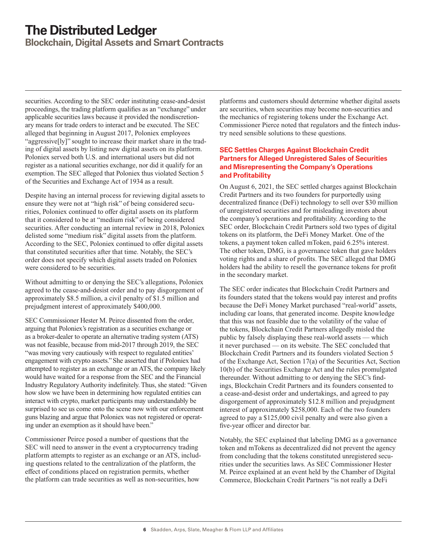**Blockchain, Digital Assets and Smart Contracts**

securities. According to the SEC order instituting cease-and-desist proceedings, the trading platform qualifies as an "exchange" under applicable securities laws because it provided the nondiscretionary means for trade orders to interact and be executed. The SEC alleged that beginning in August 2017, Poloniex employees "aggressive[ly]" sought to increase their market share in the trading of digital assets by listing new digital assets on its platform. Poloniex served both U.S. and international users but did not register as a national securities exchange, nor did it qualify for an exemption. The SEC alleged that Poloniex thus violated Section 5 of the Securities and Exchange Act of 1934 as a result.

Despite having an internal process for reviewing digital assets to ensure they were not at "high risk" of being considered securities, Poloniex continued to offer digital assets on its platform that it considered to be at "medium risk" of being considered securities. After conducting an internal review in 2018, Poloniex delisted some "medium risk" digital assets from the platform. According to the SEC, Poloniex continued to offer digital assets that constituted securities after that time. Notably, the SEC's order does not specify which digital assets traded on Poloniex were considered to be securities.

Without admitting to or denying the SEC's allegations, Poloniex agreed to the cease-and-desist order and to pay disgorgement of approximately \$8.5 million, a civil penalty of \$1.5 million and prejudgment interest of approximately \$400,000.

SEC Commissioner Hester M. Peirce dissented from the order, arguing that Poloniex's registration as a securities exchange or as a broker-dealer to operate an alternative trading system (ATS) was not feasible, because from mid-2017 through 2019, the SEC "was moving very cautiously with respect to regulated entities' engagement with crypto assets." She asserted that if Poloniex had attempted to register as an exchange or an ATS, the company likely would have waited for a response from the SEC and the Financial Industry Regulatory Authority indefinitely. Thus, she stated: "Given how slow we have been in determining how regulated entities can interact with crypto, market participants may understandably be surprised to see us come onto the scene now with our enforcement guns blazing and argue that Poloniex was not registered or operating under an exemption as it should have been."

Commissioner Peirce posed a number of questions that the SEC will need to answer in the event a cryptocurrency trading platform attempts to register as an exchange or an ATS, including questions related to the centralization of the platform, the effect of conditions placed on registration permits, whether the platform can trade securities as well as non-securities, how

platforms and customers should determine whether digital assets are securities, when securities may become non-securities and the mechanics of registering tokens under the Exchange Act. Commissioner Pierce noted that regulators and the fintech industry need sensible solutions to these questions.

### **SEC Settles Charges Against Blockchain Credit Partners for Alleged Unregistered Sales of Securities and Misrepresenting the Company's Operations and Profitability**

On August 6, 2021, the SEC settled charges against Blockchain Credit Partners and its two founders for purportedly using decentralized finance (DeFi) technology to sell over \$30 million of unregistered securities and for misleading investors about the company's operations and profitability. According to the SEC order, Blockchain Credit Partners sold two types of digital tokens on its platform, the DeFi Money Market. One of the tokens, a payment token called mToken, paid 6.25% interest. The other token, DMG, is a governance token that gave holders voting rights and a share of profits. The SEC alleged that DMG holders had the ability to resell the governance tokens for profit in the secondary market.

The SEC order indicates that Blockchain Credit Partners and its founders stated that the tokens would pay interest and profits because the DeFi Money Market purchased "real-world" assets, including car loans, that generated income. Despite knowledge that this was not feasible due to the volatility of the value of the tokens, Blockchain Credit Partners allegedly misled the public by falsely displaying these real-world assets — which it never purchased — on its website. The SEC concluded that Blockchain Credit Partners and its founders violated Section 5 of the Exchange Act, Section 17(a) of the Securities Act, Section 10(b) of the Securities Exchange Act and the rules promulgated thereunder. Without admitting to or denying the SEC's findings, Blockchain Credit Partners and its founders consented to a cease-and-desist order and undertakings, and agreed to pay disgorgement of approximately \$12.8 million and prejudgment interest of approximately \$258,000. Each of the two founders agreed to pay a \$125,000 civil penalty and were also given a five-year officer and director bar.

Notably, the SEC explained that labeling DMG as a governance token and mTokens as decentralized did not prevent the agency from concluding that the tokens constituted unregistered securities under the securities laws. As SEC Commissioner Hester M. Peirce explained at an event held by the Chamber of Digital Commerce, Blockchain Credit Partners "is not really a DeFi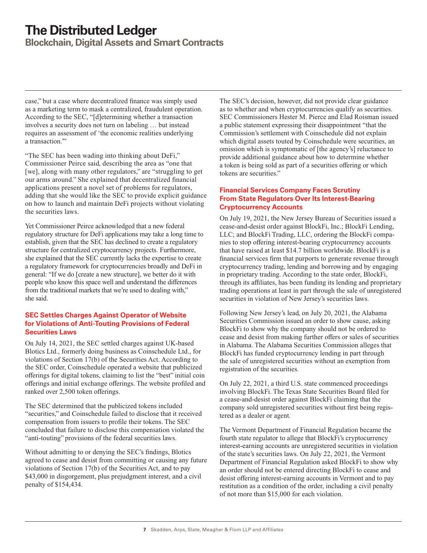**Blockchain, Digital Assets and Smart Contracts**

case," but a case where decentralized finance was simply used as a marketing term to mask a centralized, fraudulent operation. According to the SEC, "[d]etermining whether a transaction involves a security does not turn on labeling … but instead requires an assessment of 'the economic realities underlying a transaction."

"The SEC has been wading into thinking about DeFi," Commissioner Peirce said, describing the area as "one that [we], along with many other regulators," are "struggling to get our arms around." She explained that decentralized financial applications present a novel set of problems for regulators, adding that she would like the SEC to provide explicit guidance on how to launch and maintain DeFi projects without violating the securities laws.

Yet Commissioner Peirce acknowledged that a new federal regulatory structure for DeFi applications may take a long time to establish, given that the SEC has declined to create a regulatory structure for centralized cryptocurrency projects. Furthermore, she explained that the SEC currently lacks the expertise to create a regulatory framework for cryptocurrencies broadly and DeFi in general: "If we do [create a new structure], we better do it with people who know this space well and understand the differences from the traditional markets that we're used to dealing with," she said.

#### **SEC Settles Charges Against Operator of Website for Violations of Anti-Touting Provisions of Federal Securities Laws**

On July 14, 2021, the SEC settled charges against UK-based Blotics Ltd., formerly doing business as Coinschedule Ltd., for violations of Section 17(b) of the Securities Act. According to the SEC order, Coinschedule operated a website that publicized offerings for digital tokens, claiming to list the "best" initial coin offerings and initial exchange offerings. The website profiled and ranked over 2,500 token offerings.

The SEC determined that the publicized tokens included "securities," and Coinschedule failed to disclose that it received compensation from issuers to profile their tokens. The SEC concluded that failure to disclose this compensation violated the "anti-touting" provisions of the federal securities laws.

Without admitting to or denying the SEC's findings, Blotics agreed to cease and desist from committing or causing any future violations of Section 17(b) of the Securities Act, and to pay \$43,000 in disgorgement, plus prejudgment interest, and a civil penalty of \$154,434.

The SEC's decision, however, did not provide clear guidance as to whether and when cryptocurrencies qualify as securities. SEC Commissioners Hester M. Pierce and Elad Roisman issued a public statement expressing their disappointment "that the Commission's settlement with Coinschedule did not explain which digital assets touted by Coinschedule were securities, an omission which is symptomatic of [the agency's] reluctance to provide additional guidance about how to determine whether a token is being sold as part of a securities offering or which tokens are securities."

### **Financial Services Company Faces Scrutiny From State Regulators Over Its Interest-Bearing Cryptocurrency Accounts**

On July 19, 2021, the New Jersey Bureau of Securities issued a cease-and-desist order against BlockFi, Inc.; BlockFi Lending, LLC; and BlockFi Trading, LLC, ordering the BlockFi companies to stop offering interest-bearing cryptocurrency accounts that have raised at least \$14.7 billion worldwide. BlockFi is a financial services firm that purports to generate revenue through cryptocurrency trading, lending and borrowing and by engaging in proprietary trading. According to the state order, BlockFi, through its affiliates, has been funding its lending and proprietary trading operations at least in part through the sale of unregistered securities in violation of New Jersey's securities laws.

Following New Jersey's lead, on July 20, 2021, the Alabama Securities Commission issued an order to show cause, asking BlockFi to show why the company should not be ordered to cease and desist from making further offers or sales of securities in Alabama. The Alabama Securities Commission alleges that BlockFi has funded cryptocurrency lending in part through the sale of unregistered securities without an exemption from registration of the securities.

On July 22, 2021, a third U.S. state commenced proceedings involving BlockFi. The Texas State Securities Board filed for a cease-and-desist order against BlockFi claiming that the company sold unregistered securities without first being registered as a dealer or agent.

The Vermont Department of Financial Regulation became the fourth state regulator to allege that BlockFi's cryptocurrency interest-earning accounts are unregistered securities in violation of the state's securities laws. On July 22, 2021, the Vermont Department of Financial Regulation asked BlockFi to show why an order should not be entered directing BlockFi to cease and desist offering interest-earning accounts in Vermont and to pay restitution as a condition of the order, including a civil penalty of not more than \$15,000 for each violation.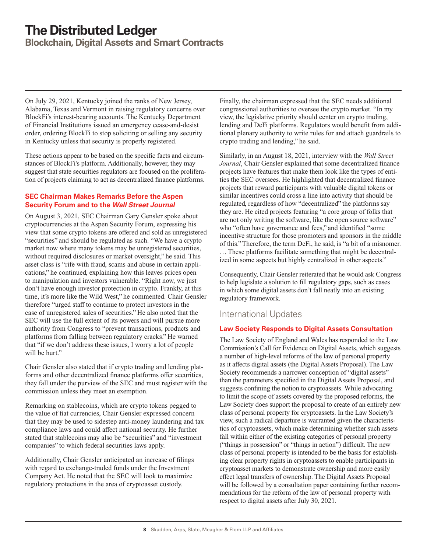<span id="page-7-0"></span>**Blockchain, Digital Assets and Smart Contracts**

On July 29, 2021, Kentucky joined the ranks of New Jersey, Alabama, Texas and Vermont in raising regulatory concerns over BlockFi's interest-bearing accounts. The Kentucky Department of Financial Institutions issued an emergency cease-and-desist order, ordering BlockFi to stop soliciting or selling any security in Kentucky unless that security is properly registered.

These actions appear to be based on the specific facts and circumstances of BlockFi's platform. Additionally, however, they may suggest that state securities regulators are focused on the proliferation of projects claiming to act as decentralized finance platforms.

### **SEC Chairman Makes Remarks Before the Aspen Security Forum and to the** *Wall Street Journal*

On August 3, 2021, SEC Chairman Gary Gensler spoke about cryptocurrencies at the Aspen Security Forum, expressing his view that some crypto tokens are offered and sold as unregistered "securities" and should be regulated as such. "We have a crypto market now where many tokens may be unregistered securities, without required disclosures or market oversight," he said. This asset class is "rife with fraud, scams and abuse in certain applications," he continued, explaining how this leaves prices open to manipulation and investors vulnerable. "Right now, we just don't have enough investor protection in crypto. Frankly, at this time, it's more like the Wild West," he commented. Chair Gensler therefore "urged staff to continue to protect investors in the case of unregistered sales of securities." He also noted that the SEC will use the full extent of its powers and will pursue more authority from Congress to "prevent transactions, products and platforms from falling between regulatory cracks." He warned that "if we don't address these issues, I worry a lot of people will be hurt."

Chair Gensler also stated that if crypto trading and lending platforms and other decentralized finance platforms offer securities, they fall under the purview of the SEC and must register with the commission unless they meet an exemption.

Remarking on stablecoins, which are crypto tokens pegged to the value of fiat currencies, Chair Gensler expressed concern that they may be used to sidestep anti-money laundering and tax compliance laws and could affect national security. He further stated that stablecoins may also be "securities" and "investment companies" to which federal securities laws apply.

Additionally, Chair Gensler anticipated an increase of filings with regard to exchange-traded funds under the Investment Company Act. He noted that the SEC will look to maximize regulatory protections in the area of cryptoasset custody.

Finally, the chairman expressed that the SEC needs additional congressional authorities to oversee the crypto market. "In my view, the legislative priority should center on crypto trading, lending and DeFi platforms. Regulators would benefit from additional plenary authority to write rules for and attach guardrails to crypto trading and lending," he said.

Similarly, in an August 18, 2021, interview with the *Wall Street Journal*, Chair Gensler explained that some decentralized finance projects have features that make them look like the types of entities the SEC oversees. He highlighted that decentralized finance projects that reward participants with valuable digital tokens or similar incentives could cross a line into activity that should be regulated, regardless of how "decentralized" the platforms say they are. He cited projects featuring "a core group of folks that are not only writing the software, like the open source software" who "often have governance and fees," and identified "some incentive structure for those promoters and sponsors in the middle of this." Therefore, the term DeFi, he said, is "a bit of a misnomer. … These platforms facilitate something that might be decentralized in some aspects but highly centralized in other aspects."

Consequently, Chair Gensler reiterated that he would ask Congress to help legislate a solution to fill regulatory gaps, such as cases in which some digital assets don't fall neatly into an existing regulatory framework.

## International Updates

## **Law Society Responds to Digital Assets Consultation**

The Law Society of England and Wales has responded to the Law Commission's Call for Evidence on Digital Assets, which suggests a number of high-level reforms of the law of personal property as it affects digital assets (the Digital Assets Proposal). The Law Society recommends a narrower conception of "digital assets" than the parameters specified in the Digital Assets Proposal, and suggests confining the notion to cryptoassets. While advocating to limit the scope of assets covered by the proposed reforms, the Law Society does support the proposal to create of an entirely new class of personal property for cryptoassets. In the Law Society's view, such a radical departure is warranted given the characteristics of cryptoassets, which make determining whether such assets fall within either of the existing categories of personal property ("things in possession" or "things in action") difficult. The new class of personal property is intended to be the basis for establishing clear property rights in cryptoassets to enable participants in cryptoasset markets to demonstrate ownership and more easily effect legal transfers of ownership. The Digital Assets Proposal will be followed by a consultation paper containing further recommendations for the reform of the law of personal property with respect to digital assets after July 30, 2021.